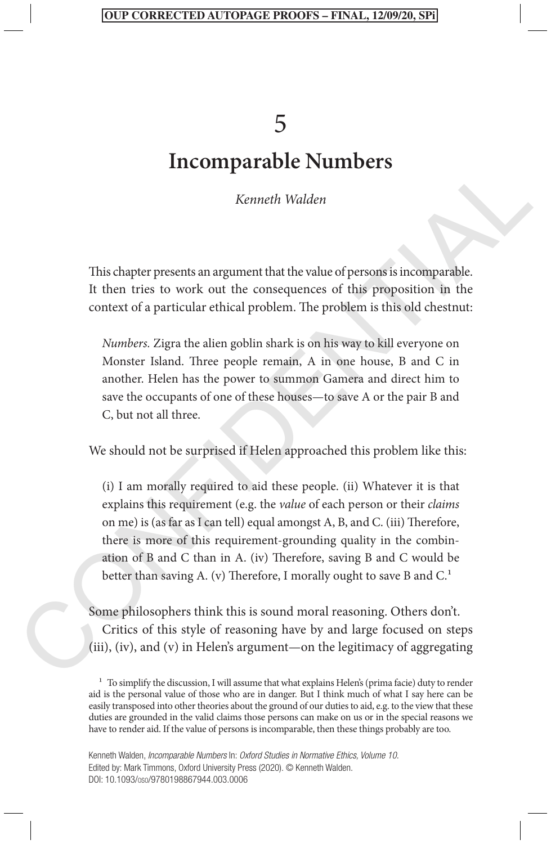5

# **Incomparable Numbers**

*Kenneth Walden*

This chapter presents an argument that the value of persons is incomparable. It then tries to work out the consequences of this proposition in the context of a particular ethical problem. The problem is this old chestnut:

*Numbers.* Zigra the alien goblin shark is on his way to kill everyone on Monster Island. Three people remain, A in one house, B and C in another. Helen has the power to summon Gamera and direct him to save the occupants of one of these houses—to save A or the pair B and C, but not all three.

We should not be surprised if Helen approached this problem like this:

**EXECUTE THE INTEREFORMAL TERM**<br> *Kenneth Walden*<br> **EXECUTE TO THE INTEREFORMAL TERM**<br> **EXECUTE THE IN SURFACE TO THE INTEREFORMAL TERM**<br> **EXECUTE THE INTEREFORMAL TERM**<br> **EXECUTE THE INTEREFORMAL TERM**<br> **EXECUTE THE INTE** (i) I am morally required to aid these people. (ii) Whatever it is that explains this requirement (e.g. the *value* of each person or their *claims* on me) is (as far as I can tell) equal amongst A, B, and C. (iii) Therefore, there is more of this requirement-grounding quality in the combination of B and C than in A. (iv) Therefore, saving B and C would be better than saving A. (v) Therefore, I morally ought to save B and C.<sup>1</sup>

Some philosophers think this is sound moral reasoning. Others don't. Critics of this style of reasoning have by and large focused on steps (iii), (iv), and (v) in Helen's argument—on the legitimacy of aggregating

<sup>&</sup>lt;sup>1</sup> To simplify the discussion, I will assume that what explains Helen's (prima facie) duty to render aid is the personal value of those who are in danger. But I think much of what I say here can be easily transposed into other theories about the ground of our duties to aid, e.g. to the view that these duties are grounded in the valid claims those persons can make on us or in the special reasons we have to render aid. If the value of persons is incomparable, then these things probably are too.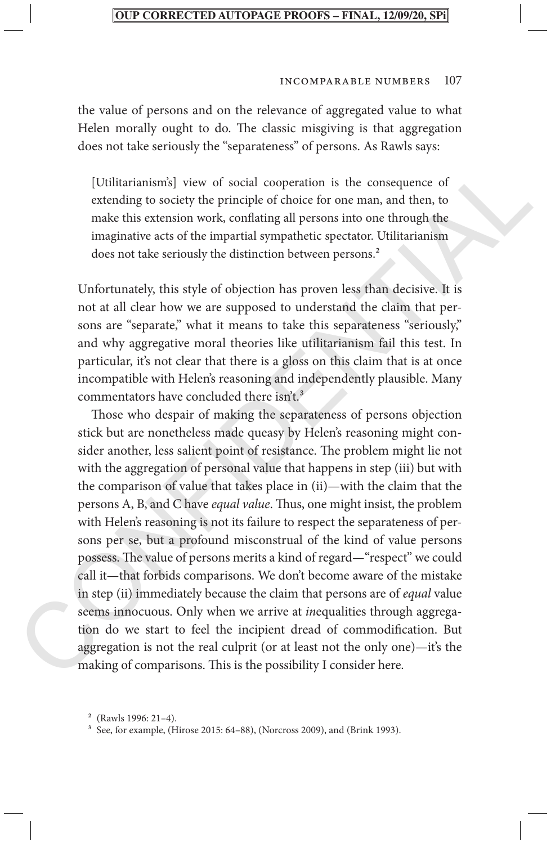#### Incomparable Numbers 107

the value of persons and on the relevance of aggregated value to what Helen morally ought to do. The classic misgiving is that aggregation does not take seriously the "separateness" of persons. As Rawls says:

[Utilitarianism's] view of social cooperation is the consequence of extending to society the principle of choice for one man, and then, to make this extension work, conflating all persons into one through the imaginative acts of the impartial sympathetic spectator. Utilitarianism does not take seriously the distinction between persons.<sup>2</sup>

Unfortunately, this style of objection has proven less than decisive. It is not at all clear how we are supposed to understand the claim that persons are "separate," what it means to take this separateness "seriously," and why aggregative moral theories like utilitarianism fail this test. In particular, it's not clear that there is a gloss on this claim that is at once incompatible with Helen's reasoning and independently plausible. Many commentators have concluded there isn't.<sup>3</sup>

[Utilitarianismis] view of social cooperation is the consequence of extending to society the principle of choice for one man, and then, to make this extension work, conditaing all persons into one through the imaginative Those who despair of making the separateness of persons objection stick but are nonetheless made queasy by Helen's reasoning might consider another, less salient point of resistance. The problem might lie not with the aggregation of personal value that happens in step (iii) but with the comparison of value that takes place in (ii)—with the claim that the persons A, B, and C have *equal value*. Thus, one might insist, the problem with Helen's reasoning is not its failure to respect the separateness of persons per se, but a profound misconstrual of the kind of value persons possess. The value of persons merits a kind of regard—"respect" we could call it—that forbids comparisons. We don't become aware of the mistake in step (ii) immediately because the claim that persons are of *equal* value seems innocuous. Only when we arrive at *in*equalities through aggregation do we start to feel the incipient dread of commodification. But aggregation is not the real culprit (or at least not the only one)—it's the making of comparisons. This is the possibility I consider here.

 $2$  (Rawls 1996: 21–4).

<sup>3</sup> See, for example, (Hirose 2015: 64–88), (Norcross 2009), and (Brink 1993).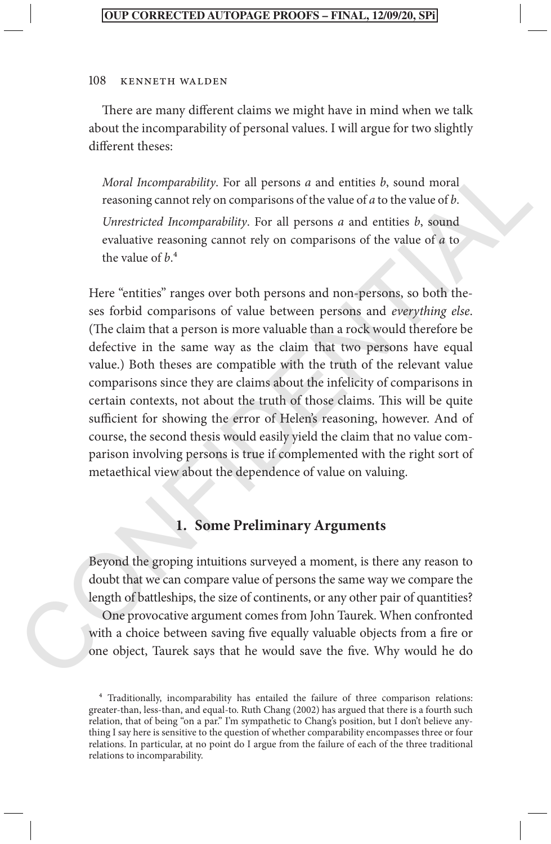#### 108 Kenneth Walden

There are many different claims we might have in mind when we talk about the incomparability of personal values. I will argue for two slightly different theses:

*Moral Incomparability*. For all persons *a* and entities *b*, sound moral reasoning cannot rely on comparisons of the value of *a* to the value of *b*. *Unrestricted Incomparability*. For all persons *a* and entities *b*, sound evaluative reasoning cannot rely on comparisons of the value of *a* to the value of  $b^4$ .

Moral Incomparability. For all persons a and entities b, sound moral reasoning cannot rely on comparisons of the value of a to the value of b.<br>
Unratricted Incomparability. For all persons a and entities b, sound<br>
evaluat Here "entities" ranges over both persons and non-persons, so both theses forbid comparisons of value between persons and *everything else*. (The claim that a person is more valuable than a rock would therefore be defective in the same way as the claim that two persons have equal value.) Both theses are compatible with the truth of the relevant value comparisons since they are claims about the infelicity of comparisons in certain contexts, not about the truth of those claims. This will be quite sufficient for showing the error of Helen's reasoning, however. And of course, the second thesis would easily yield the claim that no value comparison involving persons is true if complemented with the right sort of metaethical view about the dependence of value on valuing.

# **1. Some Preliminary Arguments**

Beyond the groping intuitions surveyed a moment, is there any reason to doubt that we can compare value of persons the same way we compare the length of battleships, the size of continents, or any other pair of quantities? One provocative argument comes from John Taurek. When confronted with a choice between saving five equally valuable objects from a fire or one object, Taurek says that he would save the five. Why would he do

<sup>4</sup> Traditionally, incomparability has entailed the failure of three comparison relations: greater-than, less-than, and equal-to. Ruth Chang (2002) has argued that there is a fourth such relation, that of being "on a par." I'm sympathetic to Chang's position, but I don't believe anything I say here is sensitive to the question of whether comparability encompasses three or four relations. In particular, at no point do I argue from the failure of each of the three traditional relations to incomparability.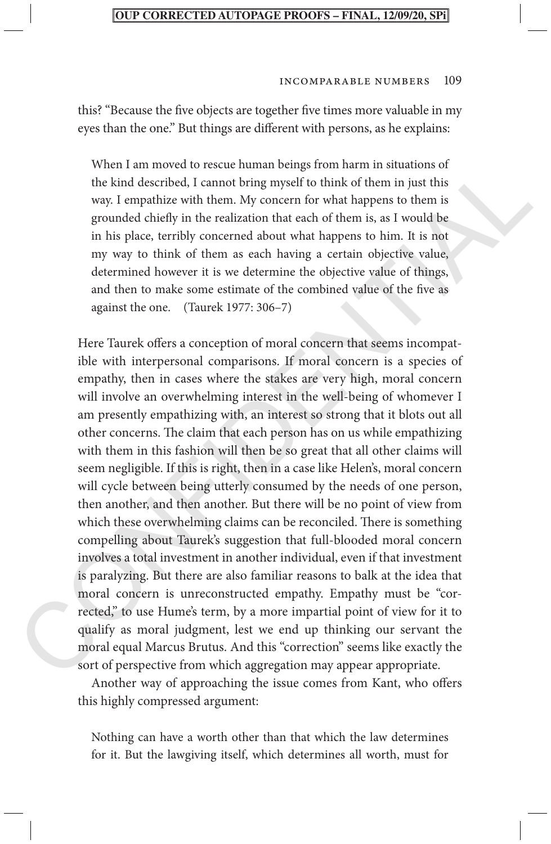#### Incomparable Numbers 109

this? "Because the five objects are together five times more valuable in my eyes than the one." But things are different with persons, as he explains:

When I am moved to rescue human beings from harm in situations of the kind described, I cannot bring myself to think of them in just this way. I empathize with them. My concern for what happens to them is grounded chiefly in the realization that each of them is, as I would be in his place, terribly concerned about what happens to him. It is not my way to think of them as each having a certain objective value, determined however it is we determine the objective value of things, and then to make some estimate of the combined value of the five as against the one. (Taurek 1977: 306–7)

When I am moved to rescue numan benng prom harm numatutons of<br>the kind described, I cannot bring myself to think of them in just this<br>sysy. I empathize with them. My concern for what happens to them is<br>grounded chiefly in Here Taurek offers a conception of moral concern that seems incompatible with interpersonal comparisons. If moral concern is a species of empathy, then in cases where the stakes are very high, moral concern will involve an overwhelming interest in the well-being of whomever I am presently empathizing with, an interest so strong that it blots out all other concerns. The claim that each person has on us while empathizing with them in this fashion will then be so great that all other claims will seem negligible. If this is right, then in a case like Helen's, moral concern will cycle between being utterly consumed by the needs of one person, then another, and then another. But there will be no point of view from which these overwhelming claims can be reconciled. There is something compelling about Taurek's suggestion that full-blooded moral concern involves a total investment in another individual, even if that investment is paralyzing. But there are also familiar reasons to balk at the idea that moral concern is unreconstructed empathy. Empathy must be "corrected," to use Hume's term, by a more impartial point of view for it to qualify as moral judgment, lest we end up thinking our servant the moral equal Marcus Brutus. And this "correction" seems like exactly the sort of perspective from which aggregation may appear appropriate.

Another way of approaching the issue comes from Kant, who offers this highly compressed argument:

Nothing can have a worth other than that which the law determines for it. But the lawgiving itself, which determines all worth, must for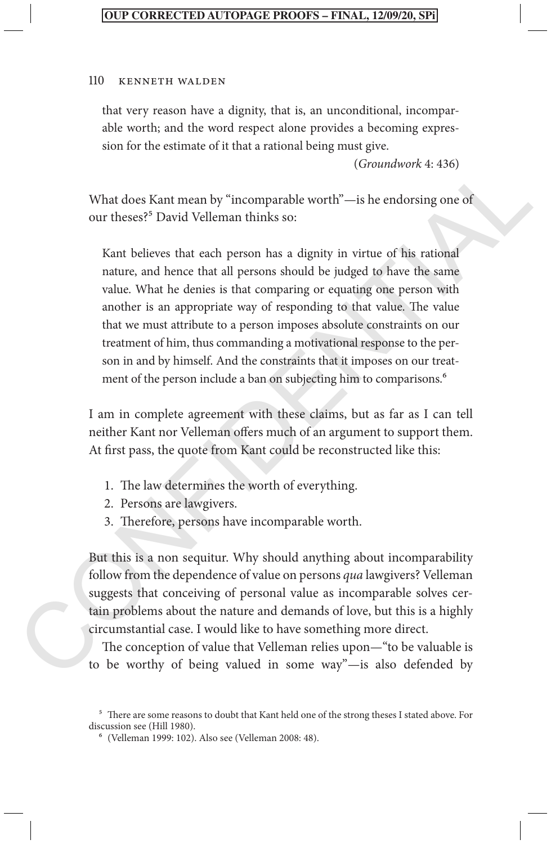#### 110 Kenneth Walden

that very reason have a dignity, that is, an unconditional, incomparable worth; and the word respect alone provides a becoming expression for the estimate of it that a rational being must give.

(*Groundwork* 4: 436)

What does Kant mean by "incomparable worth"—is he endorsing one of our theses?<sup>5</sup> David Velleman thinks so:

(Crountabors: 4:456)<br>
University (Crountabors: 4:456)<br>
Universety<sup>25</sup> David Velleman thinks so:<br>
Kant believes that each person has a dignity in virtue of his rational<br>
nature, and hence that all persons should be judged Kant believes that each person has a dignity in virtue of his rational nature, and hence that all persons should be judged to have the same value. What he denies is that comparing or equating one person with another is an appropriate way of responding to that value. The value that we must attribute to a person imposes absolute constraints on our treatment of him, thus commanding a motivational response to the person in and by himself. And the constraints that it imposes on our treatment of the person include a ban on subjecting him to comparisons.<sup>6</sup>

I am in complete agreement with these claims, but as far as I can tell neither Kant nor Velleman offers much of an argument to support them. At first pass, the quote from Kant could be reconstructed like this:

- 1. The law determines the worth of everything.
- 2. Persons are lawgivers.
- 3. Therefore, persons have incomparable worth.

But this is a non sequitur. Why should anything about incomparability follow from the dependence of value on persons *qua* lawgivers? Velleman suggests that conceiving of personal value as incomparable solves certain problems about the nature and demands of love, but this is a highly circumstantial case. I would like to have something more direct.

The conception of value that Velleman relies upon—"to be valuable is to be worthy of being valued in some way"—is also defended by

<sup>5</sup> There are some reasons to doubt that Kant held one of the strong theses I stated above. For discussion see (Hill 1980).

<sup>6</sup> (Velleman 1999: 102). Also see (Velleman 2008: 48).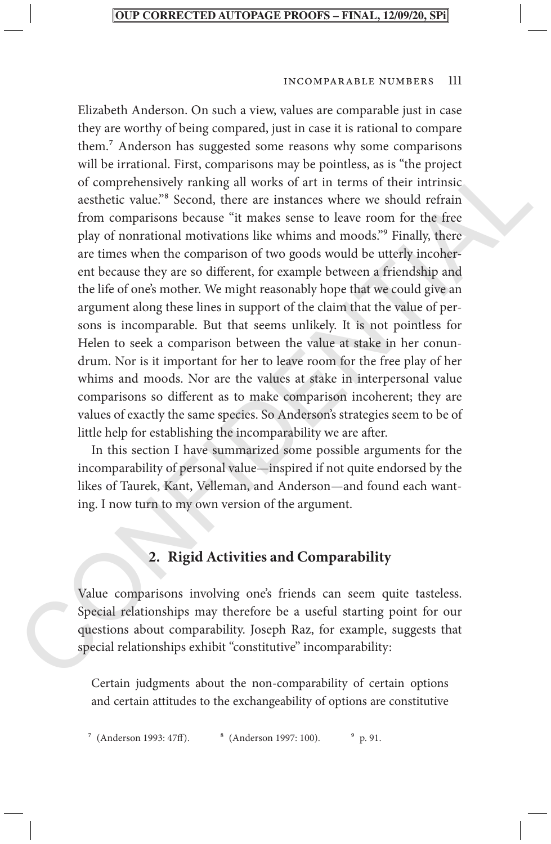#### Incomparable Numbers 111

Will be trational. Hrst, comparisons may be pointicss, as is the propertion of comprehensively ranking all works of art in terms of their intrinsic<br>aesthetic value.<sup>98</sup> Scoond, there are instances where we should refrain<br>f Elizabeth Anderson. On such a view, values are comparable just in case they are worthy of being compared, just in case it is rational to compare them.7 Anderson has suggested some reasons why some comparisons will be irrational. First, comparisons may be pointless, as is "the project of comprehensively ranking all works of art in terms of their intrinsic aesthetic value."8 Second, there are instances where we should refrain from comparisons because "it makes sense to leave room for the free play of nonrational motivations like whims and moods."9 Finally, there are times when the comparison of two goods would be utterly incoherent because they are so different, for example between a friendship and the life of one's mother. We might reasonably hope that we could give an argument along these lines in support of the claim that the value of persons is incomparable. But that seems unlikely. It is not pointless for Helen to seek a comparison between the value at stake in her conundrum. Nor is it important for her to leave room for the free play of her whims and moods. Nor are the values at stake in interpersonal value comparisons so different as to make comparison incoherent; they are values of exactly the same species. So Anderson's strategies seem to be of little help for establishing the incomparability we are after.

In this section I have summarized some possible arguments for the incomparability of personal value—inspired if not quite endorsed by the likes of Taurek, Kant, Velleman, and Anderson—and found each wanting. I now turn to my own version of the argument.

# **2. Rigid Activities and Comparability**

Value comparisons involving one's friends can seem quite tasteless. Special relationships may therefore be a useful starting point for our questions about comparability. Joseph Raz, for example, suggests that special relationships exhibit "constitutive" incomparability:

Certain judgments about the non-comparability of certain options and certain attitudes to the exchangeability of options are constitutive

<sup>7</sup> (Anderson 1993: 47ff). <sup>8</sup> (Anderson 1997: 100). <sup>9</sup> p. 91.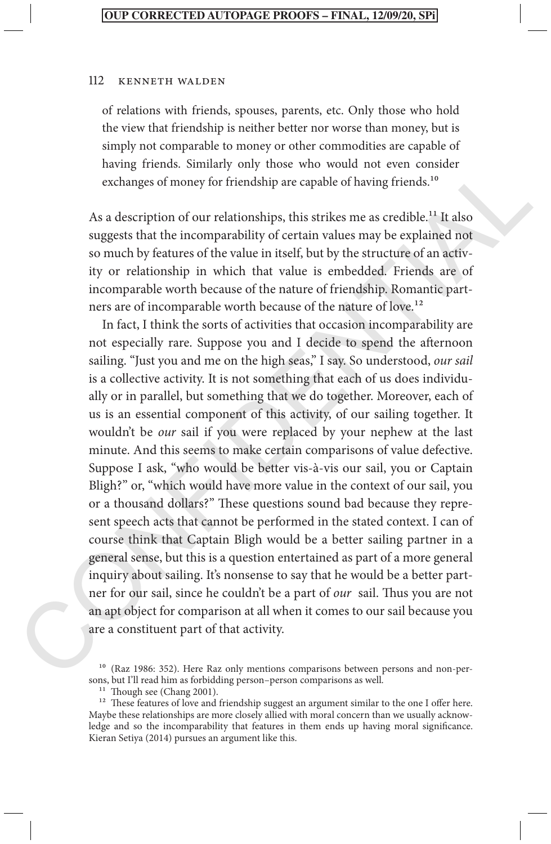of relations with friends, spouses, parents, etc. Only those who hold the view that friendship is neither better nor worse than money, but is simply not comparable to money or other commodities are capable of having friends. Similarly only those who would not even consider exchanges of money for friendship are capable of having friends.<sup>10</sup>

As a description of our relationships, this strikes me as credible.<sup>11</sup> It also suggests that the incomparability of certain values may be explained not so much by features of the value in itself, but by the structure of an activity or relationship in which that value is embedded. Friends are of incomparable worth because of the nature of friendship. Romantic partners are of incomparable worth because of the nature of love.<sup>12</sup>

navny frends, Sminary only moss who would not even consider a<br>exchanges of money for friendships, this strikes me as credible.<sup>11</sup>-It also<br>suggests that the incomparability of certain values may be explained not<br>so much b In fact, I think the sorts of activities that occasion incomparability are not especially rare. Suppose you and I decide to spend the afternoon sailing. "Just you and me on the high seas," I say. So understood, *our sail* is a collective activity. It is not something that each of us does individually or in parallel, but something that we do together. Moreover, each of us is an essential component of this activity, of our sailing together. It wouldn't be *our* sail if you were replaced by your nephew at the last minute. And this seems to make certain comparisons of value defective. Suppose I ask, "who would be better vis-à-vis our sail, you or Captain Bligh?" or, "which would have more value in the context of our sail, you or a thousand dollars?" These questions sound bad because they represent speech acts that cannot be performed in the stated context. I can of course think that Captain Bligh would be a better sailing partner in a general sense, but this is a question entertained as part of a more general inquiry about sailing. It's nonsense to say that he would be a better partner for our sail, since he couldn't be a part of *our* sail. Thus you are not an apt object for comparison at all when it comes to our sail because you are a constituent part of that activity.

<sup>10</sup> (Raz 1986: 352). Here Raz only mentions comparisons between persons and non-persons, but I'll read him as forbidding person–person comparisons as well.

 $11$  Though see (Chang 2001).

<sup>&</sup>lt;sup>12</sup> These features of love and friendship suggest an argument similar to the one I offer here. Maybe these relationships are more closely allied with moral concern than we usually acknowledge and so the incomparability that features in them ends up having moral significance. Kieran Setiya (2014) pursues an argument like this.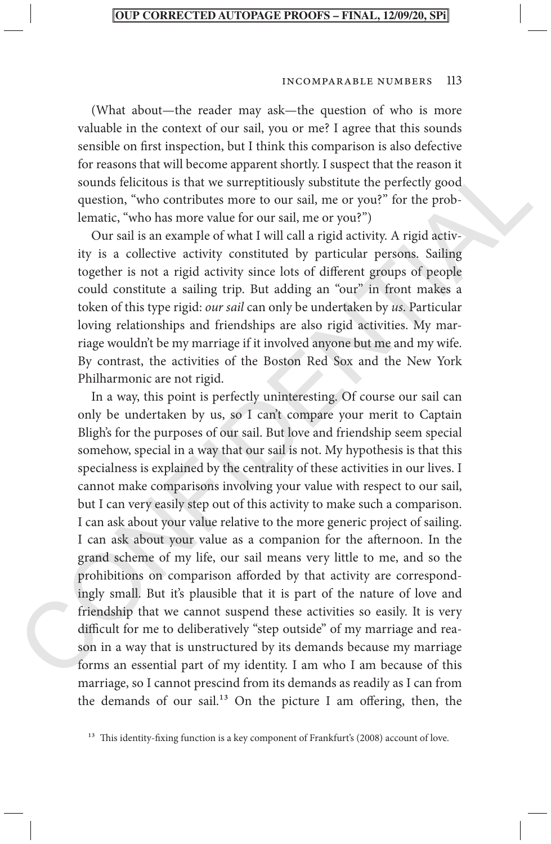#### Incomparable Numbers 113

(What about—the reader may ask—the question of who is more valuable in the context of our sail, you or me? I agree that this sounds sensible on first inspection, but I think this comparison is also defective for reasons that will become apparent shortly. I suspect that the reason it sounds felicitous is that we surreptitiously substitute the perfectly good question, "who contributes more to our sail, me or you?" for the problematic, "who has more value for our sail, me or you?")

Our sail is an example of what I will call a rigid activity. A rigid activity is a collective activity constituted by particular persons. Sailing together is not a rigid activity since lots of different groups of people could constitute a sailing trip. But adding an "our" in front makes a token of this type rigid: *our sail* can only be undertaken by *us*. Particular loving relationships and friendships are also rigid activities. My marriage wouldn't be my marriage if it involved anyone but me and my wife. By contrast, the activities of the Boston Red Sox and the New York Philharmonic are not rigid.

for reasons that will become apprent shortly. I suspect that the resonot that can be some solutions is that we surreptitiously substitute the perfectly good question, "who contributes more to our sail, me or you?" for the In a way, this point is perfectly uninteresting. Of course our sail can only be undertaken by us, so I can't compare your merit to Captain Bligh's for the purposes of our sail. But love and friendship seem special somehow, special in a way that our sail is not. My hypothesis is that this specialness is explained by the centrality of these activities in our lives. I cannot make comparisons involving your value with respect to our sail, but I can very easily step out of this activity to make such a comparison. I can ask about your value relative to the more generic project of sailing. I can ask about your value as a companion for the afternoon. In the grand scheme of my life, our sail means very little to me, and so the prohibitions on comparison afforded by that activity are correspondingly small. But it's plausible that it is part of the nature of love and friendship that we cannot suspend these activities so easily. It is very difficult for me to deliberatively "step outside" of my marriage and reason in a way that is unstructured by its demands because my marriage forms an essential part of my identity. I am who I am because of this marriage, so I cannot prescind from its demands as readily as I can from the demands of our sail.<sup>13</sup> On the picture I am offering, then, the

<sup>&</sup>lt;sup>13</sup> This identity-fixing function is a key component of Frankfurt's (2008) account of love.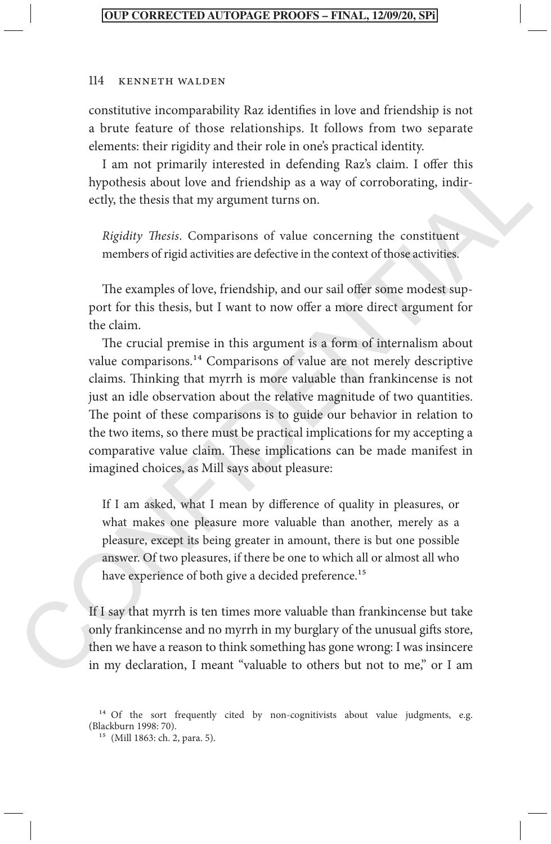#### 114 Kenneth Walden

constitutive incomparability Raz identifies in love and friendship is not a brute feature of those relationships. It follows from two separate elements: their rigidity and their role in one's practical identity.

I am not primarily interested in defending Raz's claim. I offer this hypothesis about love and friendship as a way of corroborating, indirectly, the thesis that my argument turns on.

*Rigidity Thesis*. Comparisons of value concerning the constituent members of rigid activities are defective in the context of those activities.

The examples of love, friendship, and our sail offer some modest support for this thesis, but I want to now offer a more direct argument for the claim.

I am not primariny interested in declenaing kazs taim. I other this phypothesis about low and friendship as a way of corroborating, indirectly, the thesis that my argument turns on.<br>  $\frac{1}{2}$   $\frac{1}{2}$   $\frac{1}{2}$   $\frac{1}{2}$ The crucial premise in this argument is a form of internalism about value comparisons.14 Comparisons of value are not merely descriptive claims. Thinking that myrrh is more valuable than frankincense is not just an idle observation about the relative magnitude of two quantities. The point of these comparisons is to guide our behavior in relation to the two items, so there must be practical implications for my accepting a comparative value claim. These implications can be made manifest in imagined choices, as Mill says about pleasure:

If I am asked, what I mean by difference of quality in pleasures, or what makes one pleasure more valuable than another, merely as a pleasure, except its being greater in amount, there is but one possible answer. Of two pleasures, if there be one to which all or almost all who have experience of both give a decided preference.<sup>15</sup>

If I say that myrrh is ten times more valuable than frankincense but take only frankincense and no myrrh in my burglary of the unusual gifts store, then we have a reason to think something has gone wrong: I was insincere in my declaration, I meant "valuable to others but not to me," or I am

<sup>&</sup>lt;sup>14</sup> Of the sort frequently cited by non-cognitivists about value judgments, e.g. (Blackburn 1998: 70).

<sup>15</sup> (Mill 1863: ch. 2, para. 5).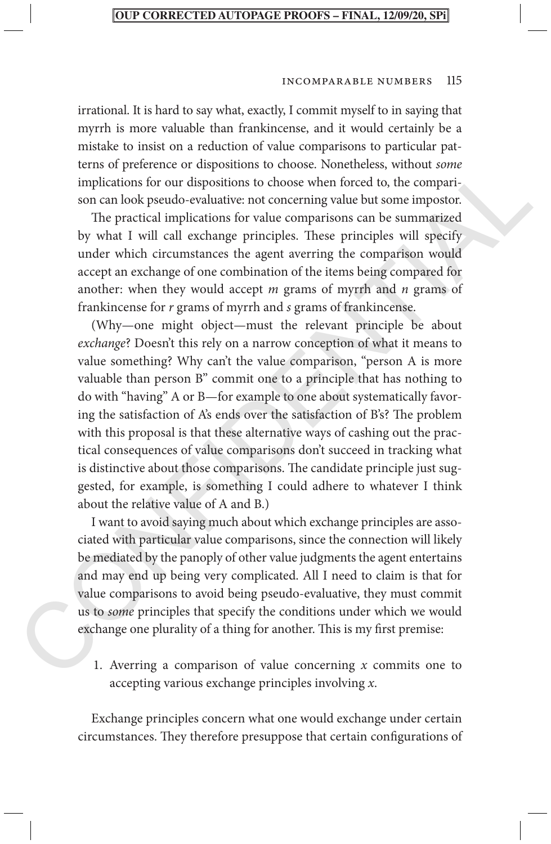#### Incomparable Numbers 115

irrational. It is hard to say what, exactly, I commit myself to in saying that myrrh is more valuable than frankincense, and it would certainly be a mistake to insist on a reduction of value comparisons to particular patterns of preference or dispositions to choose. Nonetheless, without *some* implications for our dispositions to choose when forced to, the comparison can look pseudo-evaluative: not concerning value but some impostor.

The practical implications for value comparisons can be summarized by what I will call exchange principles. These principles will specify under which circumstances the agent averring the comparison would accept an exchange of one combination of the items being compared for another: when they would accept *m* grams of myrrh and *n* grams of frankincense for *r* grams of myrrh and *s* grams of frankincense.

terns of pretector or dispositions to choose. Nentheless, without *some*<br>implications for our dispositions to choose when forced to, the compari-<br>son can look pseudo-evaluative: not concerning value but some impostor.<br>The (Why—one might object—must the relevant principle be about *exchange*? Doesn't this rely on a narrow conception of what it means to value something? Why can't the value comparison, "person A is more valuable than person B" commit one to a principle that has nothing to do with "having" A or B—for example to one about systematically favoring the satisfaction of A's ends over the satisfaction of B's? The problem with this proposal is that these alternative ways of cashing out the practical consequences of value comparisons don't succeed in tracking what is distinctive about those comparisons. The candidate principle just suggested, for example, is something I could adhere to whatever I think about the relative value of A and B.)

I want to avoid saying much about which exchange principles are associated with particular value comparisons, since the connection will likely be mediated by the panoply of other value judgments the agent entertains and may end up being very complicated. All I need to claim is that for value comparisons to avoid being pseudo-evaluative, they must commit us to *some* principles that specify the conditions under which we would exchange one plurality of a thing for another. This is my first premise:

1. Averring a comparison of value concerning *x* commits one to accepting various exchange principles involving *x*.

Exchange principles concern what one would exchange under certain circumstances. They therefore presuppose that certain configurations of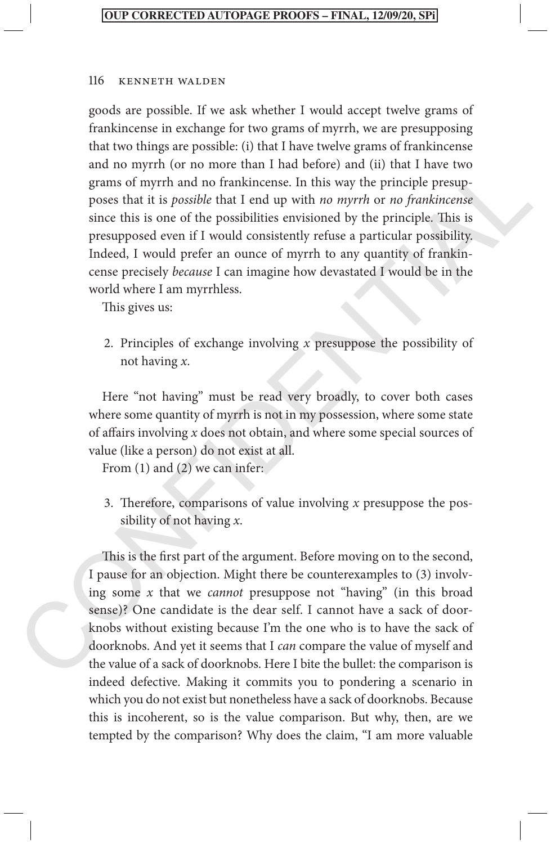and no myrth (or no more than I had belore) and tull that I neare two<br>grams of myrth and no frankinense. In this way the principle presup-<br>poses that it is *possible* that I end up with *no myrth* or *no frankinensie*<br>sinc goods are possible. If we ask whether I would accept twelve grams of frankincense in exchange for two grams of myrrh, we are presupposing that two things are possible: (i) that I have twelve grams of frankincense and no myrrh (or no more than I had before) and (ii) that I have two grams of myrrh and no frankincense. In this way the principle presupposes that it is *possible* that I end up with *no myrrh* or *no frankincense* since this is one of the possibilities envisioned by the principle. This is presupposed even if I would consistently refuse a particular possibility. Indeed, I would prefer an ounce of myrrh to any quantity of frankincense precisely *because* I can imagine how devastated I would be in the world where I am myrrhless.

This gives us:

2. Principles of exchange involving *x* presuppose the possibility of not having *x*.

Here "not having" must be read very broadly, to cover both cases where some quantity of myrrh is not in my possession, where some state of affairs involving *x* does not obtain, and where some special sources of value (like a person) do not exist at all.

From (1) and (2) we can infer:

3. Therefore, comparisons of value involving *x* presuppose the possibility of not having *x*.

This is the first part of the argument. Before moving on to the second, I pause for an objection. Might there be counterexamples to (3) involving some *x* that we *cannot* presuppose not "having" (in this broad sense)? One candidate is the dear self. I cannot have a sack of doorknobs without existing because I'm the one who is to have the sack of doorknobs. And yet it seems that I *can* compare the value of myself and the value of a sack of doorknobs. Here I bite the bullet: the comparison is indeed defective. Making it commits you to pondering a scenario in which you do not exist but nonetheless have a sack of doorknobs. Because this is incoherent, so is the value comparison. But why, then, are we tempted by the comparison? Why does the claim, "I am more valuable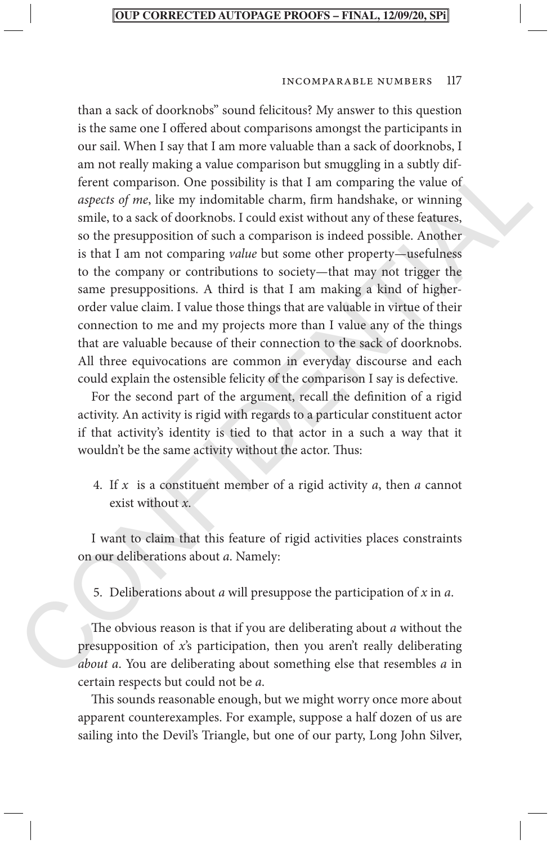#### Incomparable Numbers 117

am not really makes on paramonization but simigaging in a subury di-<br>ferenct comparison. One possibility is that 1 am comparing the value of<br>agrects of me, like my indomitable charm, firm handshake, or winning<br>smile, to a than a sack of doorknobs" sound felicitous? My answer to this question is the same one I offered about comparisons amongst the participants in our sail. When I say that I am more valuable than a sack of doorknobs, I am not really making a value comparison but smuggling in a subtly different comparison. One possibility is that I am comparing the value of *aspects of me*, like my indomitable charm, firm handshake, or winning smile, to a sack of doorknobs. I could exist without any of these features, so the presupposition of such a comparison is indeed possible. Another is that I am not comparing *value* but some other property—usefulness to the company or contributions to society—that may not trigger the same presuppositions. A third is that I am making a kind of higherorder value claim. I value those things that are valuable in virtue of their connection to me and my projects more than I value any of the things that are valuable because of their connection to the sack of doorknobs. All three equivocations are common in everyday discourse and each could explain the ostensible felicity of the comparison I say is defective.

For the second part of the argument, recall the definition of a rigid activity. An activity is rigid with regards to a particular constituent actor if that activity's identity is tied to that actor in a such a way that it wouldn't be the same activity without the actor. Thus:

4. If *x* is a constituent member of a rigid activity *a*, then *a* cannot exist without *x*.

I want to claim that this feature of rigid activities places constraints on our deliberations about *a*. Namely:

5. Deliberations about *a* will presuppose the participation of *x* in *a*.

The obvious reason is that if you are deliberating about *a* without the presupposition of *x*'s participation, then you aren't really deliberating *about a*. You are deliberating about something else that resembles *a* in certain respects but could not be *a*.

This sounds reasonable enough, but we might worry once more about apparent counterexamples. For example, suppose a half dozen of us are sailing into the Devil's Triangle, but one of our party, Long John Silver,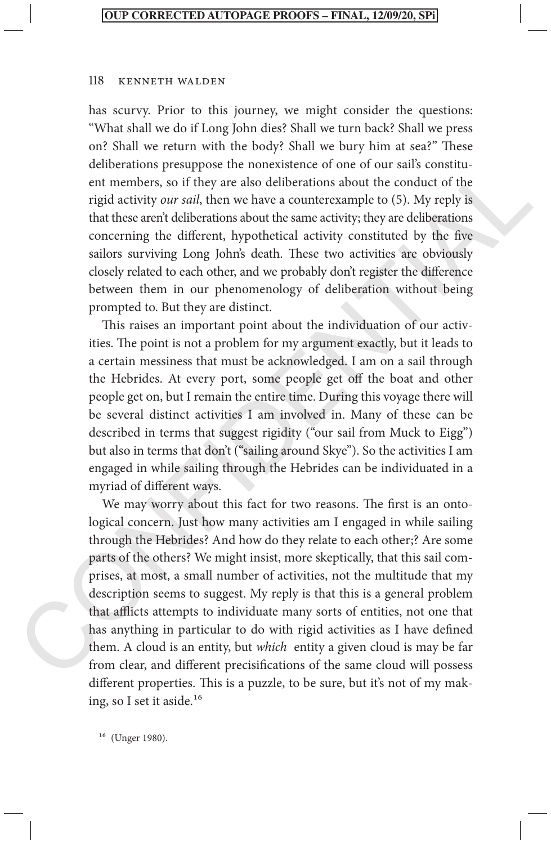## 118 Kenneth Walden

has scurvy. Prior to this journey, we might consider the questions: "What shall we do if Long John dies? Shall we turn back? Shall we press on? Shall we return with the body? Shall we bury him at sea?" These deliberations presuppose the nonexistence of one of our sail's constituent members, so if they are also deliberations about the conduct of the rigid activity *our sail*, then we have a counterexample to (5). My reply is that these aren't deliberations about the same activity; they are deliberations concerning the different, hypothetical activity constituted by the five sailors surviving Long John's death. These two activities are obviously closely related to each other, and we probably don't register the difference between them in our phenomenology of deliberation without being prompted to. But they are distinct.

This raises an important point about the individuation of our activities. The point is not a problem for my argument exactly, but it leads to a certain messiness that must be acknowledged. I am on a sail through the Hebrides. At every port, some people get off the boat and other people get on, but I remain the entire time. During this voyage there will be several distinct activities I am involved in. Many of these can be described in terms that suggest rigidity ("our sail from Muck to Eigg") but also in terms that don't ("sailing around Skye"). So the activities I am engaged in while sailing through the Hebrides can be individuated in a myriad of different ways.

deuterations presuppose the nonceasteric of one of ure saits constructed on<br>the members, so if they are also deliberations about the conduct of the<br>rigid activity our sail, then we have a counterexample to (5). My reply is We may worry about this fact for two reasons. The first is an ontological concern. Just how many activities am I engaged in while sailing through the Hebrides? And how do they relate to each other;? Are some parts of the others? We might insist, more skeptically, that this sail comprises, at most, a small number of activities, not the multitude that my description seems to suggest. My reply is that this is a general problem that afflicts attempts to individuate many sorts of entities, not one that has anything in particular to do with rigid activities as I have defined them. A cloud is an entity, but *which* entity a given cloud is may be far from clear, and different precisifications of the same cloud will possess different properties. This is a puzzle, to be sure, but it's not of my making, so I set it aside.<sup>16</sup>

16 (Unger 1980).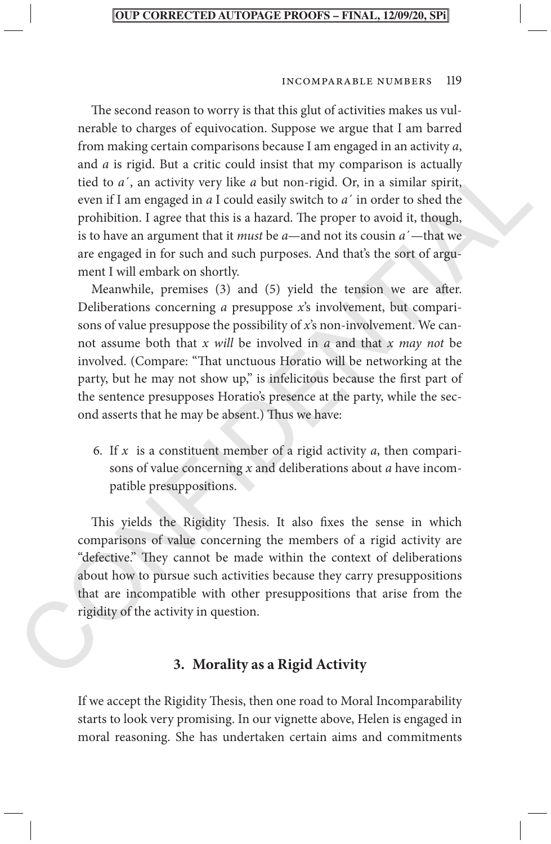#### Incomparable Numbers 119

The second reason to worry is that this glut of activities makes us vulnerable to charges of equivocation. Suppose we argue that I am barred from making certain comparisons because I am engaged in an activity *a*, and *a* is rigid. But a critic could insist that my comparison is actually tied to *a*´, an activity very like *a* but non-rigid. Or, in a similar spirit, even if I am engaged in *a* I could easily switch to *a*´ in order to shed the prohibition. I agree that this is a hazard. The proper to avoid it, though, is to have an argument that it *must* be *a*—and not its cousin *a*´—that we are engaged in for such and such purposes. And that's the sort of argument I will embark on shortly.

and *a* is regal. But a cruce could must that my comparison is actually due in the could must that in com-rigid. Or, in a similar spirit, even if I am engaged in a I could easily switch to *a'* in order to shed the prohib Meanwhile, premises (3) and (5) yield the tension we are after. Deliberations concerning *a* presuppose *x*'s involvement, but comparisons of value presuppose the possibility of *x*'s non-involvement. We cannot assume both that *x will* be involved in *a* and that *x may not* be involved. (Compare: "That unctuous Horatio will be networking at the party, but he may not show up," is infelicitous because the first part of the sentence presupposes Horatio's presence at the party, while the second asserts that he may be absent.) Thus we have:

6. If *x* is a constituent member of a rigid activity *a*, then comparisons of value concerning *x* and deliberations about *a* have incompatible presuppositions.

This yields the Rigidity Thesis. It also fixes the sense in which comparisons of value concerning the members of a rigid activity are "defective." They cannot be made within the context of deliberations about how to pursue such activities because they carry presuppositions that are incompatible with other presuppositions that arise from the rigidity of the activity in question.

# **3. Morality as a Rigid Activity**

If we accept the Rigidity Thesis, then one road to Moral Incomparability starts to look very promising. In our vignette above, Helen is engaged in moral reasoning. She has undertaken certain aims and commitments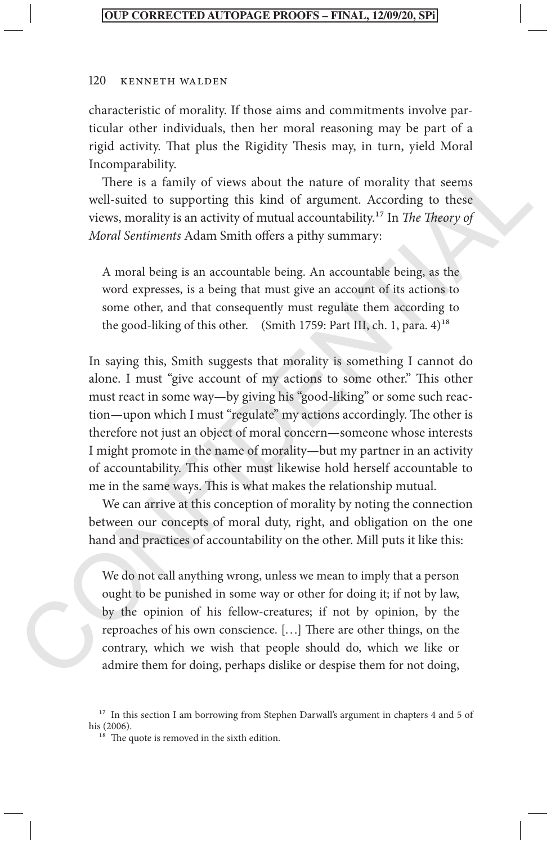## 120 Kenneth Walden

characteristic of morality. If those aims and commitments involve particular other individuals, then her moral reasoning may be part of a rigid activity. That plus the Rigidity Thesis may, in turn, yield Moral Incomparability.

There is a family of views about the nature of morality that seems well-suited to supporting this kind of argument. According to these views, morality is an activity of mutual accountability.17 In *The Theory of Moral Sentiments* Adam Smith offers a pithy summary:

A moral being is an accountable being. An accountable being, as the word expresses, is a being that must give an account of its actions to some other, and that consequently must regulate them according to the good-liking of this other. (Smith 1759: Part III, ch. 1, para. 4)<sup>18</sup>

Incomparability, this similar of more of morality that seems<br>
well-suited to supporting this kind of argument. According to these<br>
views, morality is an activity of mutual accountability.<sup>1</sup> In *The Theory of*<br> *Moral Ser* In saying this, Smith suggests that morality is something I cannot do alone. I must "give account of my actions to some other." This other must react in some way—by giving his "good-liking" or some such reaction—upon which I must "regulate" my actions accordingly. The other is therefore not just an object of moral concern—someone whose interests I might promote in the name of morality—but my partner in an activity of accountability. This other must likewise hold herself accountable to me in the same ways. This is what makes the relationship mutual.

We can arrive at this conception of morality by noting the connection between our concepts of moral duty, right, and obligation on the one hand and practices of accountability on the other. Mill puts it like this:

We do not call anything wrong, unless we mean to imply that a person ought to be punished in some way or other for doing it; if not by law, by the opinion of his fellow-creatures; if not by opinion, by the reproaches of his own conscience. [. . .] There are other things, on the contrary, which we wish that people should do, which we like or admire them for doing, perhaps dislike or despise them for not doing,

<sup>&</sup>lt;sup>17</sup> In this section I am borrowing from Stephen Darwall's argument in chapters 4 and 5 of his (2006).

<sup>&</sup>lt;sup>18</sup> The quote is removed in the sixth edition.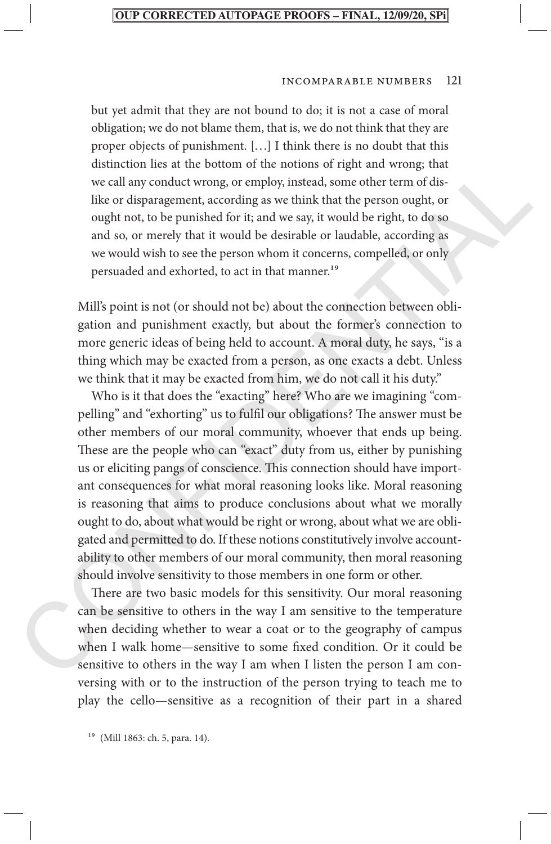#### Incomparable Numbers 121

but yet admit that they are not bound to do; it is not a case of moral obligation; we do not blame them, that is, we do not think that they are proper objects of punishment. [...] I think there is no doubt that this distinction lies at the bottom of the notions of right and wrong; that we call any conduct wrong, or employ, instead, some other term of dislike or disparagement, according as we think that the person ought, or ought not, to be punished for it; and we say, it would be right, to do so and so, or merely that it would be desirable or laudable, according as we would wish to see the person whom it concerns, compelled, or only persuaded and exhorted, to act in that manner.<sup>19</sup>

Mill's point is not (or should not be) about the connection between obligation and punishment exactly, but about the former's connection to more generic ideas of being held to account. A moral duty, he says, "is a thing which may be exacted from a person, as one exacts a debt. Unless we think that it may be exacted from him, we do not call it his duty."

assination install the notion of the notions of right and wording frait<br>we call any conduct wrong, or emply) instead, some other term of dis-<br>like or disparagement, according as we think that the person ought, or<br>ought not Who is it that does the "exacting" here? Who are we imagining "compelling" and "exhorting" us to fulfil our obligations? The answer must be other members of our moral community, whoever that ends up being. These are the people who can "exact" duty from us, either by punishing us or eliciting pangs of conscience. This connection should have important consequences for what moral reasoning looks like. Moral reasoning is reasoning that aims to produce conclusions about what we morally ought to do, about what would be right or wrong, about what we are obligated and permitted to do. If these notions constitutively involve accountability to other members of our moral community, then moral reasoning should involve sensitivity to those members in one form or other.

There are two basic models for this sensitivity. Our moral reasoning can be sensitive to others in the way I am sensitive to the temperature when deciding whether to wear a coat or to the geography of campus when I walk home—sensitive to some fixed condition. Or it could be sensitive to others in the way I am when I listen the person I am conversing with or to the instruction of the person trying to teach me to play the cello—sensitive as a recognition of their part in a shared

19 (Mill 1863: ch. 5, para. 14).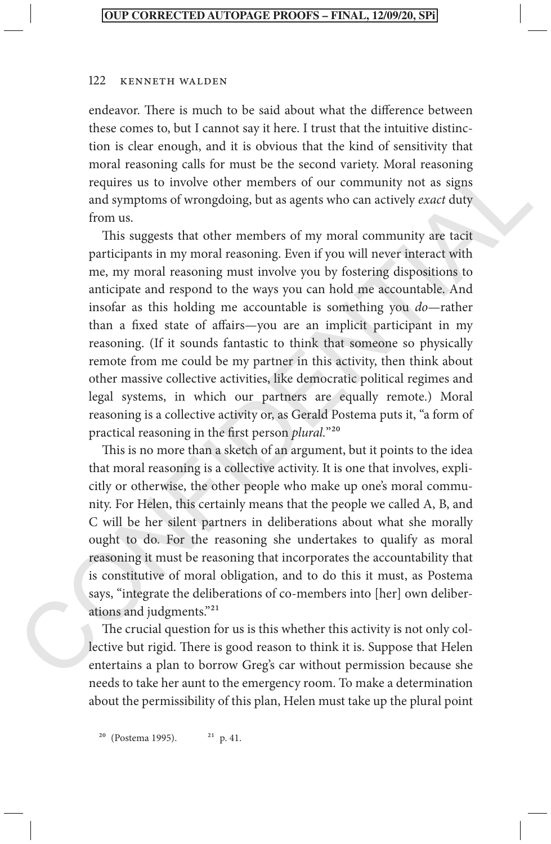endeavor. There is much to be said about what the difference between these comes to, but I cannot say it here. I trust that the intuitive distinction is clear enough, and it is obvious that the kind of sensitivity that moral reasoning calls for must be the second variety. Moral reasoning requires us to involve other members of our community not as signs and symptoms of wrongdoing, but as agents who can actively *exact* duty from us.

moral recosoning calls for must be the second variety. Mont reasoning<br>requires us to involve other members of our community not as signs<br>and symptoms of wrongdoing, but as agents who can actively exact duty<br>from us.<br>This This suggests that other members of my moral community are tacit participants in my moral reasoning. Even if you will never interact with me, my moral reasoning must involve you by fostering dispositions to anticipate and respond to the ways you can hold me accountable. And insofar as this holding me accountable is something you *do*—rather than a fixed state of affairs—you are an implicit participant in my reasoning. (If it sounds fantastic to think that someone so physically remote from me could be my partner in this activity, then think about other massive collective activities, like democratic political regimes and legal systems, in which our partners are equally remote.) Moral reasoning is a collective activity or, as Gerald Postema puts it, "a form of practical reasoning in the first person *plural.*"20

This is no more than a sketch of an argument, but it points to the idea that moral reasoning is a collective activity. It is one that involves, explicitly or otherwise, the other people who make up one's moral community. For Helen, this certainly means that the people we called A, B, and C will be her silent partners in deliberations about what she morally ought to do. For the reasoning she undertakes to qualify as moral reasoning it must be reasoning that incorporates the accountability that is constitutive of moral obligation, and to do this it must, as Postema says, "integrate the deliberations of co-members into [her] own deliberations and judgments."21

The crucial question for us is this whether this activity is not only collective but rigid. There is good reason to think it is. Suppose that Helen entertains a plan to borrow Greg's car without permission because she needs to take her aunt to the emergency room. To make a determination about the permissibility of this plan, Helen must take up the plural point

 $20$  (Postema 1995).  $21$  p. 41.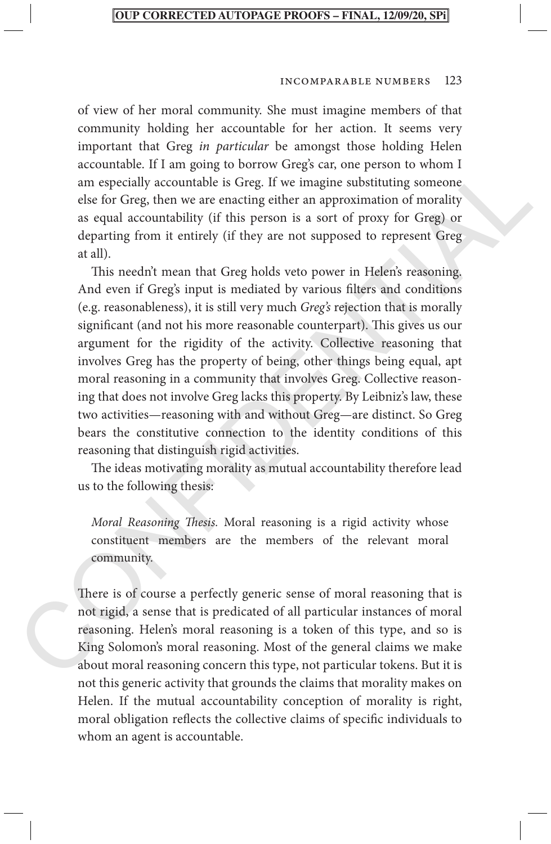#### Incomparable Numbers 123

of view of her moral community. She must imagine members of that community holding her accountable for her action. It seems very important that Greg *in particular* be amongst those holding Helen accountable. If I am going to borrow Greg's car, one person to whom I am especially accountable is Greg. If we imagine substituting someone else for Greg, then we are enacting either an approximation of morality as equal accountability (if this person is a sort of proxy for Greg) or departing from it entirely (if they are not supposed to represent Greg at all).

accountable. It I am gong to borrow Greeg scat one preson to whom 1<br>am especially accountable is Greg. If we imagine substituting someone<br>else for Greg, then we are enacting either an approximation of morality<br>as equal acc This needn't mean that Greg holds veto power in Helen's reasoning. And even if Greg's input is mediated by various filters and conditions (e.g. reasonableness), it is still very much *Greg's* rejection that is morally significant (and not his more reasonable counterpart). This gives us our argument for the rigidity of the activity. Collective reasoning that involves Greg has the property of being, other things being equal, apt moral reasoning in a community that involves Greg. Collective reasoning that does not involve Greg lacks this property. By Leibniz's law, these two activities—reasoning with and without Greg—are distinct. So Greg bears the constitutive connection to the identity conditions of this reasoning that distinguish rigid activities.

The ideas motivating morality as mutual accountability therefore lead us to the following thesis:

*Moral Reasoning Thesis.* Moral reasoning is a rigid activity whose constituent members are the members of the relevant moral community.

There is of course a perfectly generic sense of moral reasoning that is not rigid, a sense that is predicated of all particular instances of moral reasoning. Helen's moral reasoning is a token of this type, and so is King Solomon's moral reasoning. Most of the general claims we make about moral reasoning concern this type, not particular tokens. But it is not this generic activity that grounds the claims that morality makes on Helen. If the mutual accountability conception of morality is right, moral obligation reflects the collective claims of specific individuals to whom an agent is accountable.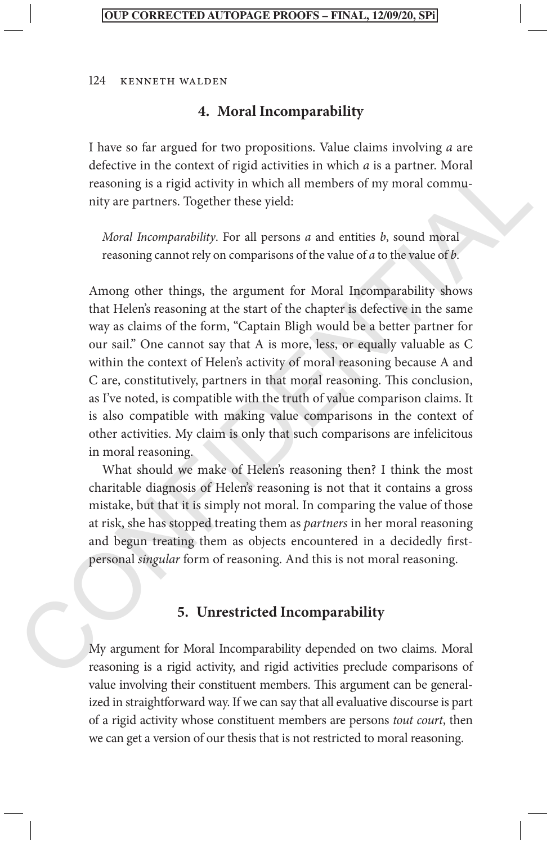## 124 Kenneth Walden

# **4. Moral Incomparability**

I have so far argued for two propositions. Value claims involving *a* are defective in the context of rigid activities in which *a* is a partner. Moral reasoning is a rigid activity in which all members of my moral community are partners. Together these yield:

*Moral Incomparability*. For all persons *a* and entities *b*, sound moral reasoning cannot rely on comparisons of the value of *a* to the value of *b*.

detective in the contest of rigid cativities in which as a partner. Moral reasoning is a rigid activity in which all members of my moral community are partners. Together these yield:<br>
Moral Incomparability. For all persons Among other things, the argument for Moral Incomparability shows that Helen's reasoning at the start of the chapter is defective in the same way as claims of the form, "Captain Bligh would be a better partner for our sail." One cannot say that A is more, less, or equally valuable as C within the context of Helen's activity of moral reasoning because A and C are, constitutively, partners in that moral reasoning. This conclusion, as I've noted, is compatible with the truth of value comparison claims. It is also compatible with making value comparisons in the context of other activities. My claim is only that such comparisons are infelicitous in moral reasoning.

What should we make of Helen's reasoning then? I think the most charitable diagnosis of Helen's reasoning is not that it contains a gross mistake, but that it is simply not moral. In comparing the value of those at risk, she has stopped treating them as *partners* in her moral reasoning and begun treating them as objects encountered in a decidedly firstpersonal *singular* form of reasoning. And this is not moral reasoning.

## **5. Unrestricted Incomparability**

My argument for Moral Incomparability depended on two claims. Moral reasoning is a rigid activity, and rigid activities preclude comparisons of value involving their constituent members. This argument can be generalized in straightforward way. If we can say that all evaluative discourse is part of a rigid activity whose constituent members are persons *tout court*, then we can get a version of our thesis that is not restricted to moral reasoning.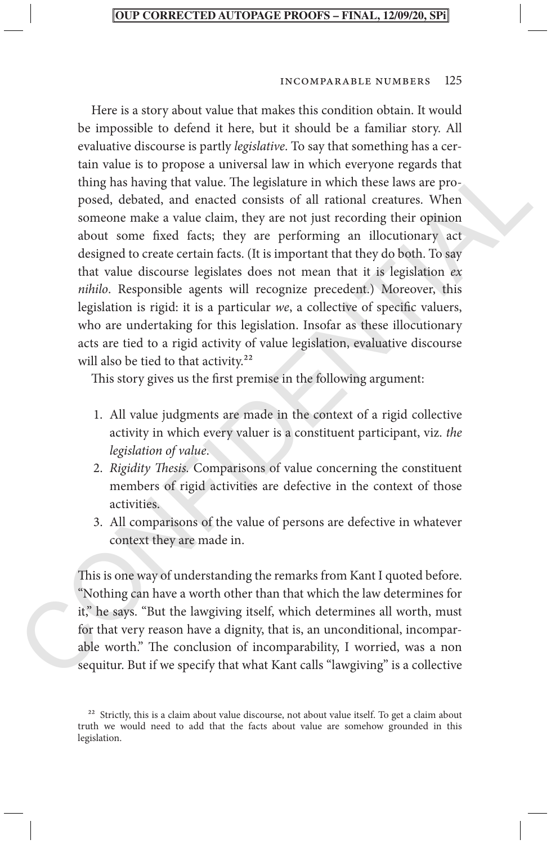#### Incomparable Numbers 125

tan value is to propose a uncercal taw in which creeprone regards that<br>thing has having that value. The legislature in which these laws are pro-<br>posed, debated, and enacted consists of all rational creatures. When<br>someon Here is a story about value that makes this condition obtain. It would be impossible to defend it here, but it should be a familiar story. All evaluative discourse is partly *legislative*. To say that something has a certain value is to propose a universal law in which everyone regards that thing has having that value. The legislature in which these laws are proposed, debated, and enacted consists of all rational creatures. When someone make a value claim, they are not just recording their opinion about some fixed facts; they are performing an illocutionary act designed to create certain facts. (It is important that they do both. To say that value discourse legislates does not mean that it is legislation *ex nihilo*. Responsible agents will recognize precedent.) Moreover, this legislation is rigid: it is a particular *we*, a collective of specific valuers, who are undertaking for this legislation. Insofar as these illocutionary acts are tied to a rigid activity of value legislation, evaluative discourse will also be tied to that activity.<sup>22</sup>

This story gives us the first premise in the following argument:

- 1. All value judgments are made in the context of a rigid collective activity in which every valuer is a constituent participant, viz. *the legislation of value*.
- 2. *Rigidity Thesis.* Comparisons of value concerning the constituent members of rigid activities are defective in the context of those activities.
- 3. All comparisons of the value of persons are defective in whatever context they are made in.

This is one way of understanding the remarks from Kant I quoted before. "Nothing can have a worth other than that which the law determines for it," he says. "But the lawgiving itself, which determines all worth, must for that very reason have a dignity, that is, an unconditional, incomparable worth." The conclusion of incomparability, I worried, was a non sequitur. But if we specify that what Kant calls "lawgiving" is a collective

<sup>&</sup>lt;sup>22</sup> Strictly, this is a claim about value discourse, not about value itself. To get a claim about truth we would need to add that the facts about value are somehow grounded in this legislation.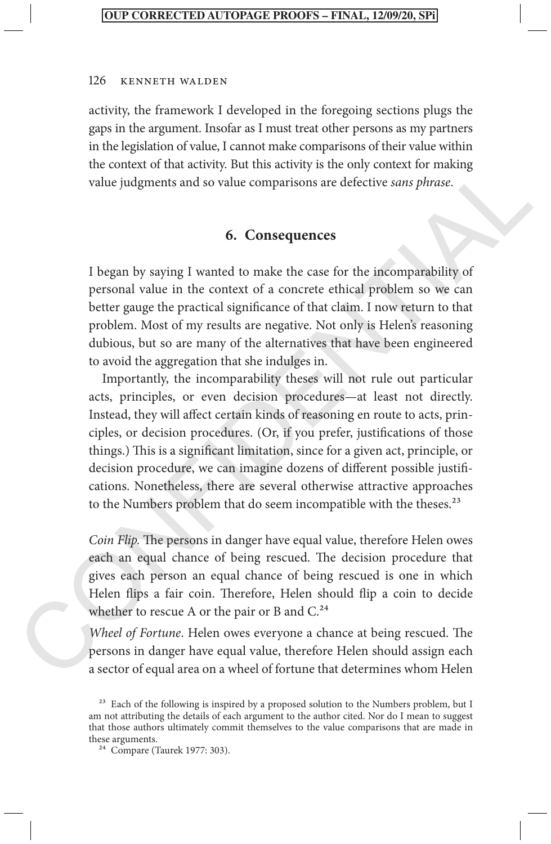activity, the framework I developed in the foregoing sections plugs the gaps in the argument. Insofar as I must treat other persons as my partners in the legislation of value, I cannot make comparisons of their value within the context of that activity. But this activity is the only context for making value judgments and so value comparisons are defective *sans phrase*.

## **6. Consequences**

I began by saying I wanted to make the case for the incomparability of personal value in the context of a concrete ethical problem so we can better gauge the practical significance of that claim. I now return to that problem. Most of my results are negative. Not only is Helen's reasoning dubious, but so are many of the alternatives that have been engineered to avoid the aggregation that she indulges in.

the context of that activity. But this activity is the only context to rmain<br>specifies the comparison are defective stars phrase.<br>
Vale judgments and so value comparisons are defective stars phrase.<br>
I began by saying I w Importantly, the incomparability theses will not rule out particular acts, principles, or even decision procedures—at least not directly. Instead, they will affect certain kinds of reasoning en route to acts, principles, or decision procedures. (Or, if you prefer, justifications of those things.) This is a significant limitation, since for a given act, principle, or decision procedure, we can imagine dozens of different possible justifications. Nonetheless, there are several otherwise attractive approaches to the Numbers problem that do seem incompatible with the theses.<sup>23</sup>

*Coin Flip.* The persons in danger have equal value, therefore Helen owes each an equal chance of being rescued. The decision procedure that gives each person an equal chance of being rescued is one in which Helen flips a fair coin. Therefore, Helen should flip a coin to decide whether to rescue A or the pair or B and C.<sup>24</sup>

*Wheel of Fortune*. Helen owes everyone a chance at being rescued. The persons in danger have equal value, therefore Helen should assign each a sector of equal area on a wheel of fortune that determines whom Helen

<sup>&</sup>lt;sup>23</sup> Each of the following is inspired by a proposed solution to the Numbers problem, but I am not attributing the details of each argument to the author cited. Nor do I mean to suggest that those authors ultimately commit themselves to the value comparisons that are made in these arguments.

<sup>24</sup> Compare (Taurek 1977: 303).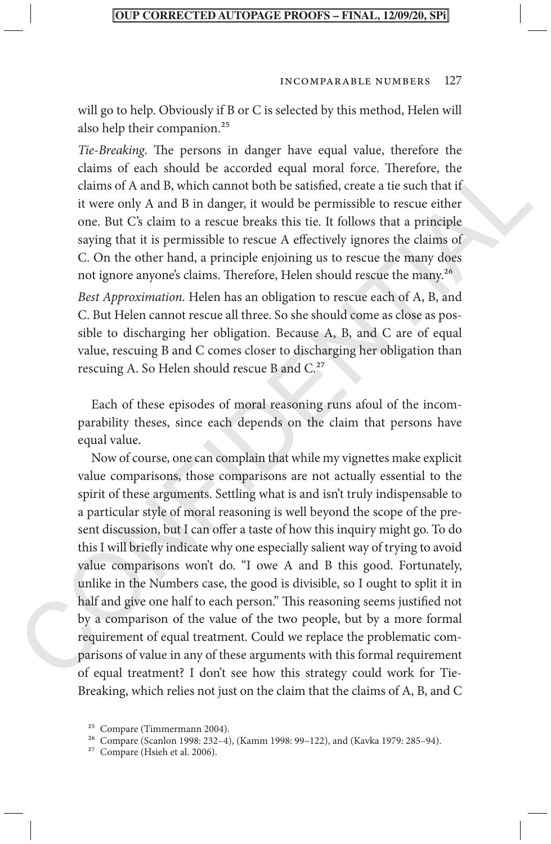#### Incomparable Numbers 127

will go to help. Obviously if B or C is selected by this method, Helen will also help their companion.25

*Tie-Breaking*. The persons in danger have equal value, therefore the claims of each should be accorded equal moral force. Therefore, the claims of A and B, which cannot both be satisfied, create a tie such that if it were only A and B in danger, it would be permissible to rescue either one. But C's claim to a rescue breaks this tie. It follows that a principle saying that it is permissible to rescue A effectively ignores the claims of C. On the other hand, a principle enjoining us to rescue the many does not ignore anyone's claims. Therefore, Helen should rescue the many.<sup>26</sup>

*Best Approximation.* Helen has an obligation to rescue each of A, B, and C. But Helen cannot rescue all three. So she should come as close as possible to discharging her obligation. Because A, B, and C are of equal value, rescuing B and C comes closer to discharging her obligation than rescuing A. So Helen should rescue B and C.<sup>27</sup>

Each of these episodes of moral reasoning runs afoul of the incomparability theses, since each depends on the claim that persons have equal value.

claims of each should be accorded equal moral force. Therefore, the<br>dialms of A and B, which cannot both be satisfied, create a tie such that if<br>it were only A and B in danger, it would be permissible to rescue either<br>one Now of course, one can complain that while my vignettes make explicit value comparisons, those comparisons are not actually essential to the spirit of these arguments. Settling what is and isn't truly indispensable to a particular style of moral reasoning is well beyond the scope of the present discussion, but I can offer a taste of how this inquiry might go. To do this I will briefly indicate why one especially salient way of trying to avoid value comparisons won't do. "I owe A and B this good. Fortunately, unlike in the Numbers case, the good is divisible, so I ought to split it in half and give one half to each person." This reasoning seems justified not by a comparison of the value of the two people, but by a more formal requirement of equal treatment. Could we replace the problematic comparisons of value in any of these arguments with this formal requirement of equal treatment? I don't see how this strategy could work for Tie-Breaking, which relies not just on the claim that the claims of A, B, and C

<sup>25</sup> Compare (Timmermann 2004).

<sup>26</sup> Compare (Scanlon 1998: 232–4), (Kamm 1998: 99–122), and (Kavka 1979: 285–94).

<sup>27</sup> Compare (Hsieh et al. 2006).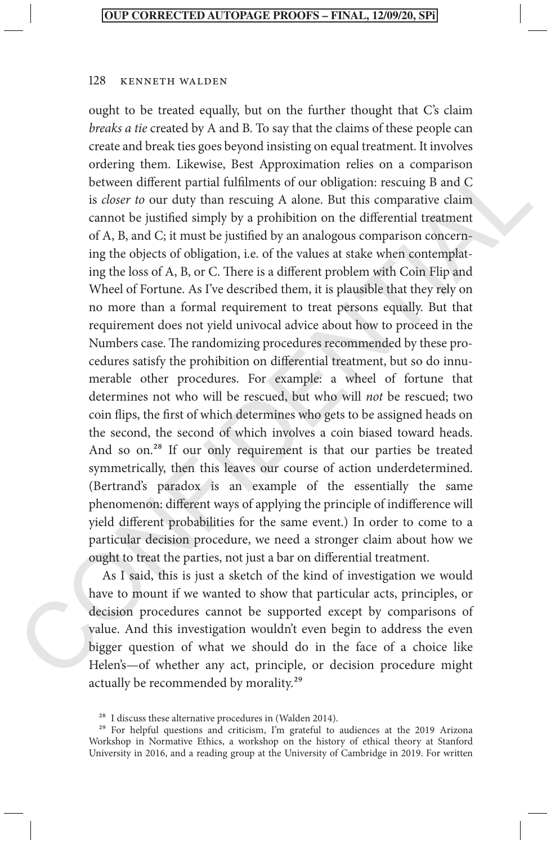ordering them. Lakwave, Best Approximation relates on a comparison check on the between different partial fulfilments of our obligation: rescuing B and C:<br>is *doser* to our duly than rescuing A alone. But this comparative ought to be treated equally, but on the further thought that C's claim *breaks a tie* created by A and B. To say that the claims of these people can create and break ties goes beyond insisting on equal treatment. It involves ordering them. Likewise, Best Approximation relies on a comparison between different partial fulfilments of our obligation: rescuing B and C is *closer to* our duty than rescuing A alone. But this comparative claim cannot be justified simply by a prohibition on the differential treatment of A, B, and C; it must be justified by an analogous comparison concerning the objects of obligation, i.e. of the values at stake when contemplating the loss of A, B, or C. There is a different problem with Coin Flip and Wheel of Fortune. As I've described them, it is plausible that they rely on no more than a formal requirement to treat persons equally. But that requirement does not yield univocal advice about how to proceed in the Numbers case. The randomizing procedures recommended by these procedures satisfy the prohibition on differential treatment, but so do innumerable other procedures. For example: a wheel of fortune that determines not who will be rescued, but who will *not* be rescued; two coin flips, the first of which determines who gets to be assigned heads on the second, the second of which involves a coin biased toward heads. And so on.<sup>28</sup> If our only requirement is that our parties be treated symmetrically, then this leaves our course of action underdetermined. (Bertrand's paradox is an example of the essentially the same phenomenon: different ways of applying the principle of indifference will yield different probabilities for the same event.) In order to come to a particular decision procedure, we need a stronger claim about how we ought to treat the parties, not just a bar on differential treatment.

As I said, this is just a sketch of the kind of investigation we would have to mount if we wanted to show that particular acts, principles, or decision procedures cannot be supported except by comparisons of value. And this investigation wouldn't even begin to address the even bigger question of what we should do in the face of a choice like Helen's—of whether any act, principle, or decision procedure might actually be recommended by morality.29

<sup>28</sup> I discuss these alternative procedures in (Walden 2014).

<sup>&</sup>lt;sup>29</sup> For helpful questions and criticism, I'm grateful to audiences at the 2019 Arizona Workshop in Normative Ethics, a workshop on the history of ethical theory at Stanford University in 2016, and a reading group at the University of Cambridge in 2019. For written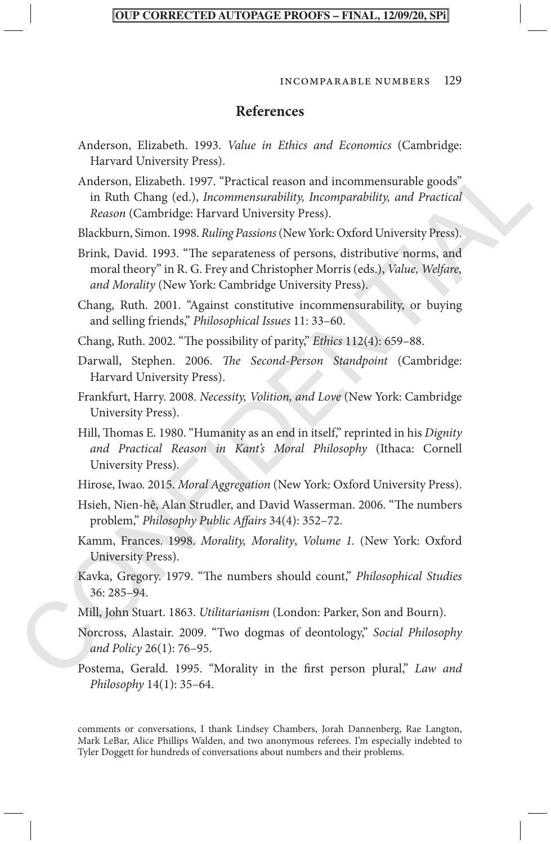Incomparable Numbers 129

## **References**

- Anderson, Elizabeth. 1993. *Value in Ethics and Economics* (Cambridge: Harvard University Press).
- Anderson, Elizabeth. 1997. "Practical reason and incommensurable goods" in Ruth Chang (ed.), *Incommensurability, Incomparability, and Practical Reason* (Cambridge: Harvard University Press).

Blackburn, Simon. 1998. *Ruling Passions* (New York: Oxford University Press).

The valuation (Fitch) rests).<br>
Anderson, Filizaheth, 1997. "Practical reason and incommensurable goods"<br>
in Rubi Chang (ed.), Incommensurablity, Incomparability, and Practical<br>
Reason (Cambridge: Harvard Chiversity Press). Brink, David. 1993. "The separateness of persons, distributive norms, and moral theory" in R. G. Frey and Christopher Morris (eds.), *Value, Welfare, and Morality* (New York: Cambridge University Press).

Chang, Ruth. 2001. "Against constitutive incommensurability, or buying and selling friends," *Philosophical Issues* 11: 33–60.

Chang, Ruth. 2002. "The possibility of parity," *Ethics* 112(4): 659–88.

- Darwall, Stephen. 2006. *The Second-Person Standpoint* (Cambridge: Harvard University Press).
- Frankfurt, Harry. 2008. *Necessity, Volition, and Love* (New York: Cambridge University Press).
- Hill, Thomas E. 1980. "Humanity as an end in itself," reprinted in his *Dignity and Practical Reason in Kant's Moral Philosophy* (Ithaca: Cornell University Press).
- Hirose, Iwao. 2015. *Moral Aggregation* (New York: Oxford University Press).
- Hsieh, Nien-hê, Alan Strudler, and David Wasserman. 2006. "The numbers problem," *Philosophy Public Affairs* 34(4): 352–72.
- Kamm, Frances. 1998. *Morality, Morality*, *Volume 1.* (New York: Oxford University Press).
- Kavka, Gregory. 1979. "The numbers should count," *Philosophical Studies* 36: 285–94.
- Mill, John Stuart. 1863. *Utilitarianism* (London: Parker, Son and Bourn).
- Norcross, Alastair. 2009. "Two dogmas of deontology," *Social Philosophy and Policy* 26(1): 76–95.
- Postema, Gerald. 1995. "Morality in the first person plural," *Law and Philosophy* 14(1): 35–64.

comments or conversations, I thank Lindsey Chambers, Jorah Dannenberg, Rae Langton, Mark LeBar, Alice Phillips Walden, and two anonymous referees. I'm especially indebted to Tyler Doggett for hundreds of conversations about numbers and their problems.